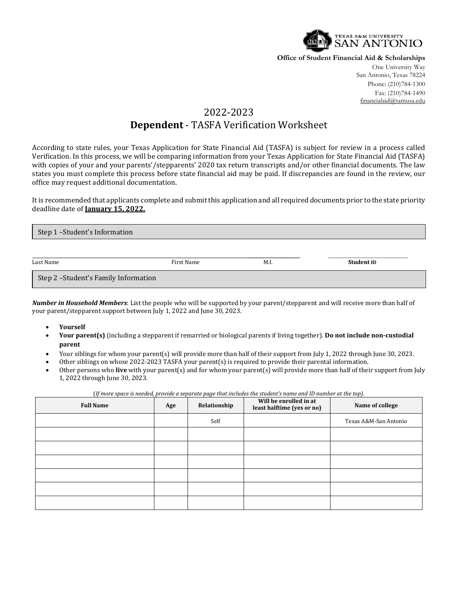

**Office of Student Financial Aid & Scholarships**

One University Way San Antonio, Texas 78224 Phone: (210)784-1300 Fax: (210)784-1490 financialaid@tamusa.edu

## 2022-2023 **Dependent** - TASFA Verification Worksheet

According to state rules, your Texas Application for State Financial Aid (TASFA) is subject for review in a process called Verification. In this process, we will be comparing information from your Texas Application for State Financial Aid (TASFA) with copies of your and your parents'/stepparents' 2020 tax return transcripts and/or other financial documents. The law states you must complete this process before state financial aid may be paid. If discrepancies are found in the review, our office may request additional documentation.

It is recommended that applicants complete and submit this application and all required documents prior to the state priority deadline date of **January 15, 2022.**

| Step 1-Student's Information          |            |      |            |
|---------------------------------------|------------|------|------------|
| Last Name                             | First Name | M.I. | Student ID |
| Step 2 - Student's Family Information |            |      |            |

*Number in Household Members*: List the people who will be supported by your parent/stepparent and will receive more than half of your parent/stepparent support between July 1, 2022 and June 30, 2023.

- **Yourself**
- **Your parent(s)** (including a stepparent if remarried or biological parents if living together). **Do not include non-custodial parent**
- Your siblings for whom your parent(s) will provide more than half of their support from July 1, 2022 through June 30, 2023.
- Other siblings on whose 2022-2023 TASFA your parent(s) is required to provide their parental information.
- Other persons who **live** with your parent(s) and for whom your parent(s) will provide more than half of their support from July 1, 2022 through June 30, 2023.

| (If more space is needed, provide a separate page that includes the student's name and ID number at the top). |     |              |                                                      |                       |  |
|---------------------------------------------------------------------------------------------------------------|-----|--------------|------------------------------------------------------|-----------------------|--|
| <b>Full Name</b>                                                                                              | Age | Relationship | Will be enrolled in at<br>least halftime (yes or no) | Name of college       |  |
|                                                                                                               |     | Self         |                                                      | Texas A&M-San Antonio |  |
|                                                                                                               |     |              |                                                      |                       |  |
|                                                                                                               |     |              |                                                      |                       |  |
|                                                                                                               |     |              |                                                      |                       |  |
|                                                                                                               |     |              |                                                      |                       |  |
|                                                                                                               |     |              |                                                      |                       |  |
|                                                                                                               |     |              |                                                      |                       |  |